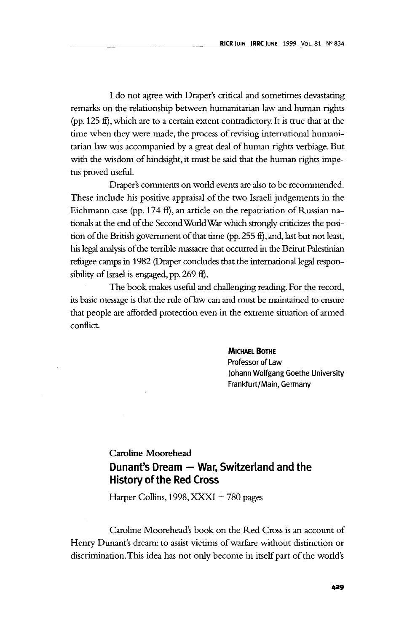I do not agree with Draper's critical and sometimes devastating remarks on the relationship between humanitarian law and human rights (pp. 125 ff), which are to a certain extent contradictory. It is true that at the time when they were made, the process of revising international humanitarian law was accompanied by a great deal of human rights verbiage. But with the wisdom of hindsight, it must be said that the human rights impetus proved useful.

Draper's comments on world events are also to be recommended. These include his positive appraisal of the two Israeli judgements in the Eichmann case (pp. 174 ff), an article on the repatriation of Russian nationals at the end of the Second WorldWar which strongly criticizes the position of the British government of that time (pp. 255 ff), and, last but not least, his legal analysis of the terrible massacre that occurred in the Beirut Palestinian refugee camps in 1982 (Draper concludes that the international legal responsibility of Israel is engaged, pp. 269 ff).

The book makes useful and challenging reading. For the record, its basic message is that the rule of law can and must be maintained to ensure that people are afforded protection even in the extreme situation of armed conflict.

## **MICHAEL BOTHE**

Professor of Law Johann Wolfgang Goethe University Frankfurt/Main, Germany

## Caroline Moorehead **Dunant's Dream — War, Switzerland and the History of the Red Cross**

Harper Collins, 1998, XXXI + 780 pages

Caroline Moorehead's book on the Red Cross is an account of Henry Dunant's dream: to assist victims of warfare without distinction or discrimination. This idea has not only become in itself part of the world's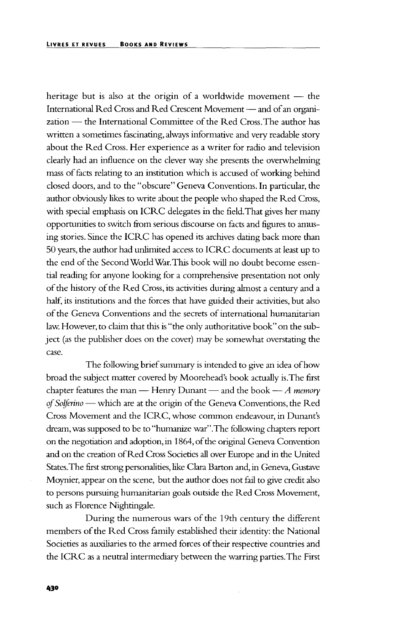heritage but is also at the origin of a worldwide movement — the International Red Cross and Red Crescent Movement — and of an organization — the International Committee of the Red Cross. The author has written a sometimes fascinating, always informative and very readable story about the Red Cross. Her experience as a writer for radio and television clearly had an influence on the clever way she presents the overwhelming mass of facts relating to an institution which is accused of working behind closed doors, and to the "obscure" Geneva Conventions. In particular, the author obviously likes to write about the people who shaped the Red Cross, with special emphasis on ICRC delegates in the field.That gives her many opportunities to switch from serious discourse on facts and figures to amusing stories. Since the ICRC has opened its archives dating back more than 50 years, the author had unlimited access to ICRC documents at least up to the end of the Second World War. This book will no doubt become essential reading for anyone looking for a comprehensive presentation not only of the history of the Red Cross, its activities during almost a century and a half, its institutions and the forces that have guided their activities, but also of the Geneva Conventions and the secrets of international humanitarian law. However, to claim that this is "the only authoritative book" on the subject (as the publisher does on the cover) may be somewhat overstating the case.

The following brief summary is intended to give an idea of how broad the subject matter covered by Moorehead's book actually is.The first chapter features the man — Henry Dunant — and the book — *A memory ofSolferino* — which are at the origin of the Geneva Conventions, the Red Cross Movement and the ICRC, whose common endeavour, in Dunant's dream, was supposed to be to "humanize war".The following chapters report on the negotiation and adoption, in 1864, of the original Geneva Convention and on the creation of Red Cross Societies all over Europe and in the United States.The first strong personalities, like Clara Barton and, in Geneva, Gustave Moynier, appear on the scene, but the author does not fail to give credit also to persons pursuing humanitarian goals outside the Red Cross Movement, such as Florence Nightingale.

During the numerous wars of the 19th century the different members of the Red Cross family established their identity: the National Societies as auxiliaries to the armed forces of their respective countries and the ICRC as a neutral intermediary between the warring parties.The First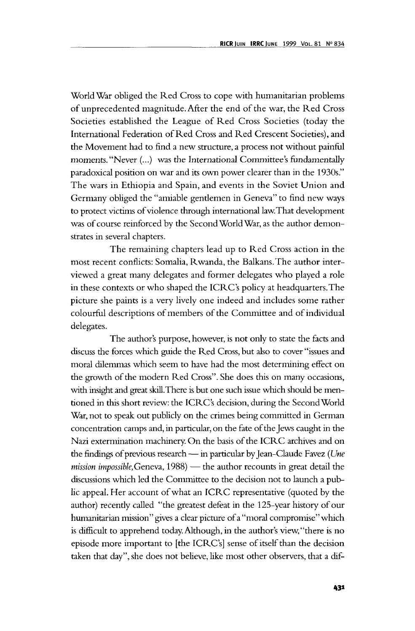World War obliged the Red Cross to cope with humanitarian problems of unprecedented magnitude. After the end of the war, the Red Cross Societies established the League of Red Cross Societies (today the International Federation of Red Cross and Red Crescent Societies), and the Movement had to find a new structure, a process not without painful moments."Never (...) was the International Committee's fundamentally paradoxical position on war and its own power clearer than in the 1930s." The wars in Ethiopia and Spain, and events in the Soviet Union and Germany obliged the "amiable gentlemen in Geneva" to find new ways to protect victims of violence through international law. That development was of course reinforced by the Second World War, as the author demonstrates in several chapters.

The remaining chapters lead up to Red Cross action in the most recent conflicts: Somalia, Rwanda, the Balkans. The author interviewed a great many delegates and former delegates who played a role in these contexts or who shaped the ICRC's policy at headquarters. The picture she paints is a very lively one indeed and includes some rather colourful descriptions of members of the Committee and of individual delegates.

The author's purpose, however, is not only to state the facts and discuss the forces which guide the Red Cross, but also to cover "issues and moral dilemmas which seem to have had the most determining effect on the growth of the modern Red Cross". She does this on many occasions, with insight and great skill.There is but one such issue which should be mentioned in this short review: the ICRC's decision, during the Second World War, not to speak out publicly on the crimes being committed in German concentration camps and, in particular, on the fate of the Jews caught in the Nazi extermination machinery. On the basis of the ICRC archives and on the findings of previous research — in particular by Jean-Claude Favez *(Une mission impossible,Geneva,* 1988) — the author recounts in great detail the discussions which led the Committee to the decision not to launch a public appeal. Her account of what an ICRC representative (quoted by the author) recently called "the greatest defeat in the 125-year history of our humanitarian mission" gives a clear picture of a "moral compromise" which is difficult to apprehend today. Although, in the author's view, "there is no episode more important to [the ICRC's] sense of itself than the decision taken that day", she does not believe, like most other observers, that a dif